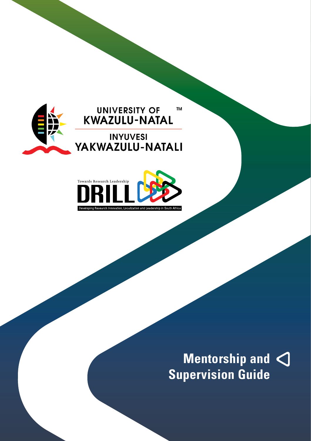

#### **UNIVERSITY OF TM** KWAZULU-NATAL

**INYUVESI** YAKWAZULU-NATALI



**Mentorship and Supervision Guide**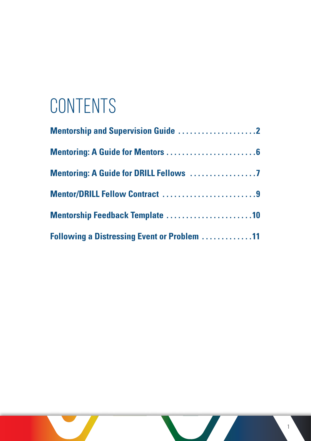## **CONTENTS**

| Mentor/DRILL Fellow Contract 9                     |
|----------------------------------------------------|
| Mentorship Feedback Template 10                    |
| <b>Following a Distressing Event or Problem 11</b> |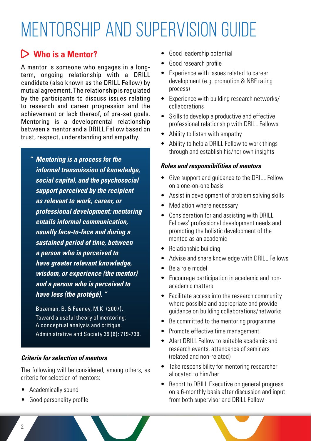## Mentorship and Supervision Guide

### **Who is a Mentor?**

A mentor is someone who engages in a longterm, ongoing relationship with a DRILL candidate (also known as the DRILL Fellow) by mutual agreement. The relationship is regulated by the participants to discuss issues relating to research and career progression and the achievement or lack thereof, of pre-set goals. Mentoring is a developmental relationship between a mentor and a DRILL Fellow based on trust, respect, understanding and empathy.

*" Mentoring is a process for the informal transmission of knowledge, social capital, and the psychosocial support perceived by the recipient as relevant to work, career, or professional development; mentoring entails informal communication, usually face-to-face and during a sustained period of time, between a person who is perceived to have greater relevant knowledge, wisdom, or experience (the mentor) and a person who is perceived to have less (the protégé). "*

Bozeman, B. & Feeney, M.K. (2007). Toward a useful theory of mentoring: A conceptual analysis and critique. Administrative and Society 39 (6): 719-739.

#### *Criteria for selection of mentors*

The following will be considered, among others, as criteria for selection of mentors:

- • Academically sound
- • Good personality profile
- Good leadership potential
- Good research profile
- Experience with issues related to career development (e.g. promotion & NRF rating process)
- Experience with building research networks/ collaborations
- Skills to develop a productive and effective professional relationship with DRILL Fellows
- • Ability to listen with empathy
- Ability to help a DRILL Fellow to work things through and establish his/her own insights

#### *Roles and responsibilities of mentors*

- Give support and quidance to the DRILL Fellow on a one-on-one basis
- Assist in development of problem solving skills
- Mediation where necessary
- Consideration for and assisting with DRILL Fellows' professional development needs and promoting the holistic development of the mentee as an academic
- Relationship building
- • Advise and share knowledge with DRILL Fellows
- Be a role model
- Encourage participation in academic and nonacademic matters
- Facilitate access into the research community where possible and appropriate and provide guidance on building collaborations/networks
- Be committed to the mentoring programme
- Promote effective time management
- Alert DRILL Fellow to suitable academic and research events, attendance of seminars (related and non-related)
- Take responsibility for mentoring researcher allocated to him/her
- Report to DRILL Executive on general progress on a 6-monthly basis after discussion and input from both supervisor and DRILL Fellow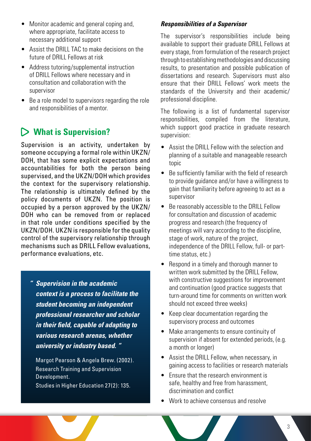- Monitor academic and general coping and, where appropriate, facilitate access to necessary additional support
- Assist the DRILL TAC to make decisions on the future of DRILL Fellows at risk
- Address tutoring/supplemental instruction of DRILL Fellows where necessary and in consultation and collaboration with the supervisor
- Be a role model to supervisors regarding the role and responsibilities of a mentor.

### **What is Supervision?**

Supervision is an activity, undertaken by someone occupying a formal role within UKZN/ DOH, that has some explicit expectations and accountabilities for both the person being supervised, and the UKZN/DOH which provides the context for the supervisory relationship. The relationship is ultimately defined by the policy documents of UKZN. The position is occupied by a person approved by the UKZN/ DOH who can be removed from or replaced in that role under conditions specified by the UKZN/DOH. UKZN is responsible for the quality control of the supervisory relationship through mechanisms such as DRILL Fellow evaluations, performance evaluations, etc.

*" Supervision in the academic context is a process to facilitate the student becoming an independent professional researcher and scholar in their field, capable of adapting to various research arenas, whether university or industry based. "*

Margot Pearson & Angela Brew. (2002). Research Training and Supervision Development.

Studies in Higher Education 27(2): 135.

#### *Responsibilities of a Supervisor*

The supervisor's responsibilities include being available to support their graduate DRILL Fellows at every stage, from formulation of the research project through to establishing methodologies and discussing results, to presentation and possible publication of dissertations and research. Supervisors must also ensure that their DRILL Fellows' work meets the standards of the University and their academic/ professional discipline.

The following is a list of fundamental supervisor responsibilities, compiled from the literature, which support good practice in graduate research supervision:

- Assist the DRILL Fellow with the selection and planning of a suitable and manageable research topic
- Be sufficiently familiar with the field of research to provide guidance and/or have a willingness to gain that familiarity before agreeing to act as a supervisor
- • Be reasonably accessible to the DRILL Fellow for consultation and discussion of academic progress and research (the frequency of meetings will vary according to the discipline, stage of work, nature of the project, independence of the DRILL Fellow, full- or parttime status, etc.)
- Respond in a timely and thorough manner to written work submitted by the DRILL Fellow, with constructive suggestions for improvement and continuation (good practice suggests that turn-around time for comments on written work should not exceed three weeks)
- • Keep clear documentation regarding the supervisory process and outcomes
- Make arrangements to ensure continuity of supervision if absent for extended periods, (e.g. a month or longer)
- • Assist the DRILL Fellow, when necessary, in gaining access to facilities or research materials
- Fnsure that the research environment is safe, healthy and free from harassment, discrimination and conflict
- Work to achieve consensus and resolve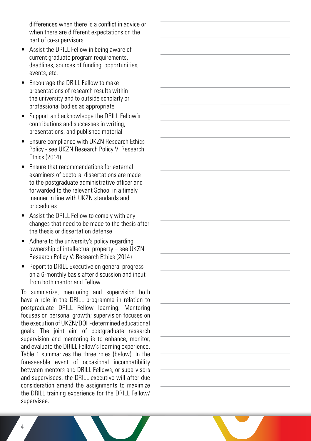differences when there is a conflict in advice or when there are different expectations on the part of co-supervisors

- Assist the DRILL Fellow in being aware of current graduate program requirements, deadlines, sources of funding, opportunities, events, etc.
- Encourage the DRILL Fellow to make presentations of research results within the university and to outside scholarly or professional bodies as appropriate
- • Support and acknowledge the DRILL Fellow's contributions and successes in writing, presentations, and published material
- • Ensure compliance with UKZN Research Ethics Policy - see UKZN Research Policy V: Research Ethics (2014)
- Finsure that recommendations for external examiners of doctoral dissertations are made to the postgraduate administrative officer and forwarded to the relevant School in a timely manner in line with UKZN standards and procedures
- • Assist the DRILL Fellow to comply with any changes that need to be made to the thesis after the thesis or dissertation defense
- Adhere to the university's policy regarding ownership of intellectual property – see UKZN Research Policy V: Research Ethics (2014)
- Report to DRILL Executive on general progress on a 6-monthly basis after discussion and input from both mentor and Fellow.

To summarize, mentoring and supervision both have a role in the DRILL programme in relation to postgraduate DRILL Fellow learning. Mentoring focuses on personal growth; supervision focuses on the execution of UKZN/DOH-determined educational goals. The joint aim of postgraduate research supervision and mentoring is to enhance, monitor, and evaluate the DRILL Fellow's learning experience. Table 1 summarizes the three roles (below). In the foreseeable event of occasional incompatibility between mentors and DRILL Fellows, or supervisors and supervisees, the DRILL executive will after due consideration amend the assignments to maximize the DRILL training experience for the DRILL Fellow/ supervisee.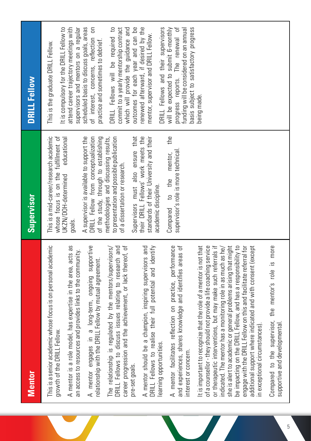| <b>Mentor</b>                                                                                                                                                                                                                                                                                                                                                                                                                                                                                                                                                                    | Supervisor                                                                                                                                               | <b>DRILL Fellow</b>                                                                                                                                                    |
|----------------------------------------------------------------------------------------------------------------------------------------------------------------------------------------------------------------------------------------------------------------------------------------------------------------------------------------------------------------------------------------------------------------------------------------------------------------------------------------------------------------------------------------------------------------------------------|----------------------------------------------------------------------------------------------------------------------------------------------------------|------------------------------------------------------------------------------------------------------------------------------------------------------------------------|
| This is a senior academic whose focus is on personal academic<br>growth of the DRILL Fellow.                                                                                                                                                                                                                                                                                                                                                                                                                                                                                     | This is a mid-career/research academic<br>whose focus is on the fulfillment of                                                                           | It is compulsory for the DRILL Fellow to<br>This is the graduate DRILL Fellow.                                                                                         |
| A mentor is a role model, has expertise in the area, acts as<br>an access to resources and provides links to the community.                                                                                                                                                                                                                                                                                                                                                                                                                                                      | educational<br>JKZN/DOH-determined<br>goals.                                                                                                             | attend career trajectory meetings with<br>supervisors and mentors on a regular                                                                                         |
| A mentor engages in a long-term, ongoing supportive<br>relationship with the DRILL Fellow by mutual agreement.                                                                                                                                                                                                                                                                                                                                                                                                                                                                   | A supervisor is available to support the<br>DRILL Fellow from conceptualization<br>of the study, through to establishing                                 | scheduled basis to discuss goals, areas<br>of interest, concerns, reflection on<br>practice and sometimes to debrief                                                   |
| DRILL Fellows to discuss issues relating to research and<br>career progression and the achievement, or lack thereof, of<br>The relationship is regulated by the mentors/supervisors/<br>pre-set goals.                                                                                                                                                                                                                                                                                                                                                                           | to presentation and possible publication<br>Supervisors must also ensure that<br>methodologies and discussing results,<br>of a dissertation or research. | $\overline{c}$<br>outcomes for each year and can be<br>commit to a yearly mentorship contract<br>which will provide the guidance and<br>DRILL Fellows will be required |
| A mentor should be a champion, inspiring supervisors and<br>DRILL Fellows to realise their full potential and identify<br>earning opportunities.                                                                                                                                                                                                                                                                                                                                                                                                                                 | their DRILL Fellows' work meets the<br>standards of their University and their<br>academic discipline.                                                   | renewed afterward, if desired by the<br>DRILL Fellows and their supervisors<br>mentor, supervisor and DRILL Fellow.                                                    |
| A mentor facilitates reflection on practice, performance<br>and experiences, shares knowledge and identifies areas of<br>interest or concern.                                                                                                                                                                                                                                                                                                                                                                                                                                    | the<br>supervisor's role is more technical<br>mentor,<br>to the<br>Compared                                                                              | will be expected to submit 6-monthly<br>progress reports. The renewal of<br>funding will be considered on an annual<br>basis subject to satisfactory progress          |
| it is important to recognize that the role of a mentor is not that<br>of a counsellor - they should not provide a life coaching service<br>or therapeutic interventions, but may make such referrals if<br>she is alert to academic or general problems arising that might<br>be impacting on the DRILL Fellow, and has a responsibility to<br>engage with the DRILL Fellow on this and facilitate referral for<br>indicated. The mentor has a monitoring role in as much as he/<br>additional support where indicated and with consent (except<br>in exceptional circumstances) |                                                                                                                                                          | being made.                                                                                                                                                            |
| Compared to the supervisor, the mentor's role is more<br>supportive and developmental                                                                                                                                                                                                                                                                                                                                                                                                                                                                                            |                                                                                                                                                          |                                                                                                                                                                        |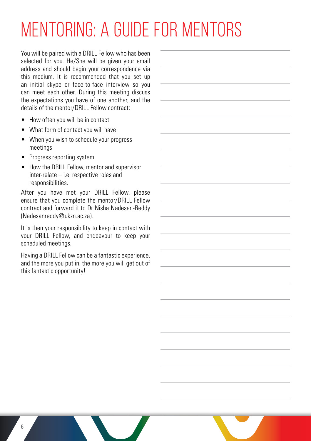# Mentoring: A Guide for Mentors

You will be paired with a DRILL Fellow who has been selected for you. He/She will be given your email address and should begin your correspondence via this medium. It is recommended that you set up an initial skype or face-to-face interview so you can meet each other. During this meeting discuss the expectations you have of one another, and the details of the mentor/DRILL Fellow contract:

- How often you will be in contact
- What form of contact you will have
- When you wish to schedule your progress meetings
- Progress reporting system
- How the DRILL Fellow, mentor and supervisor inter-relate – i.e. respective roles and responsibilities.

After you have met your DRILL Fellow, please ensure that you complete the mentor/DRILL Fellow contract and forward it to Dr Nisha Nadesan-Reddy (Nadesanreddy@ukzn.ac.za).

It is then your responsibility to keep in contact with your DRILL Fellow, and endeavour to keep your scheduled meetings.

Having a DRILL Fellow can be a fantastic experience, and the more you put in, the more you will get out of this fantastic opportunity!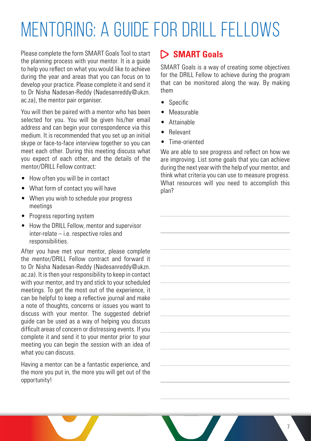# Mentoring: A Guide for DRILL Fellows

Please complete the form SMART Goals Tool to start the planning process with your mentor. It is a guide to help you reflect on what you would like to achieve during the year and areas that you can focus on to develop your practice. Please complete it and send it to Dr Nisha Nadesan-Reddy (Nadesanreddy@ukzn. ac.za), the mentor pair organiser.

You will then be paired with a mentor who has been selected for you. You will be given his/her email address and can begin your correspondence via this medium. It is recommended that you set up an initial skype or face-to-face interview together so you can meet each other. During this meeting discuss what you expect of each other, and the details of the mentor/DRILL Fellow contract:

- How often you will be in contact
- What form of contact you will have
- When you wish to schedule your progress meetings
- Progress reporting system
- How the DRILL Fellow, mentor and supervisor inter-relate – i.e. respective roles and responsibilities.

After you have met your mentor, please complete the mentor/DRILL Fellow contract and forward it to Dr Nisha Nadesan-Reddy (Nadesanreddy@ukzn. ac.za). It is then your responsibility to keep in contact with your mentor, and try and stick to your scheduled meetings. To get the most out of the experience, it can be helpful to keep a reflective journal and make a note of thoughts, concerns or issues you want to discuss with your mentor. The suggested debrief guide can be used as a way of helping you discuss difficult areas of concern or distressing events. If you complete it and send it to your mentor prior to your meeting you can begin the session with an idea of what you can discuss.

Having a mentor can be a fantastic experience, and the more you put in, the more you will get out of the opportunity!

#### **SMART Goals**

SMART Goals is a way of creating some objectives for the DRILL Fellow to achieve during the program that can be monitored along the way. By making them

- • Specific
- **Measurable**
- • Attainable
- • Relevant
- Time-oriented

We are able to see progress and reflect on how we are improving. List some goals that you can achieve during the next year with the help of your mentor, and think what criteria you can use to measure progress. What resources will you need to accomplish this plan?

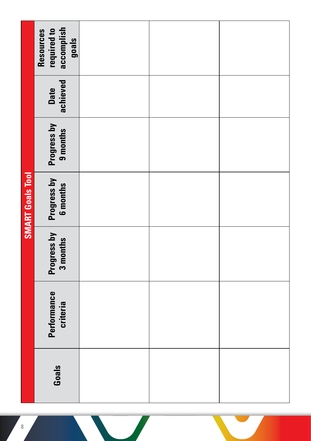|                         | Resources<br>required to<br>accomplish<br>goals |  |  |
|-------------------------|-------------------------------------------------|--|--|
|                         | Date<br>achieved                                |  |  |
|                         | Progress by<br>9 months                         |  |  |
| <b>SMART Goals Tool</b> | Progress by<br>6 months                         |  |  |
|                         | Progress by<br>3 months                         |  |  |
|                         | Performance<br>criteria                         |  |  |
|                         | Goals                                           |  |  |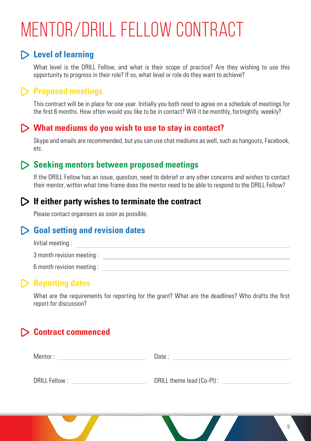# Mentor/DRILL Fellow Contract

### **Level of learning**

What level is the DRILL Fellow, and what is their scope of practice? Are they wishing to use this opportunity to progress in their role? If so, what level or role do they want to achieve?

### **Proposed meetings**

This contract will be in place for one year. Initially you both need to agree on a schedule of meetings for the first 6 months. How often would you like to be in contact? Will it be monthly, fortnightly, weekly?

#### **What mediums do you wish to use to stay in contact?**

Skype and emails are recommended, but you can use chat mediums as well, such as hangouts, Facebook, etc.

#### **Seeking mentors between proposed meetings**

If the DRILL Fellow has an issue, question, need to debrief or any other concerns and wishes to contact their mentor, within what time-frame does the mentor need to be able to respond to the DRILL Fellow?

#### **If either party wishes to terminate the contract**

Please contact organisers as soon as possible.

### **Goal setting and revision dates**

| Initial meeting:          |  |
|---------------------------|--|
| 3 month revision meeting: |  |
| 6 month revision meeting: |  |

### **Reporting dates**

What are the requirements for reporting for the grant? What are the deadlines? Who drafts the first report for discussion?

## **Contract commenced**

| Mentor:        | Date:                     |
|----------------|---------------------------|
| DRILL Fellow : | DRILL theme lead (Co-PI): |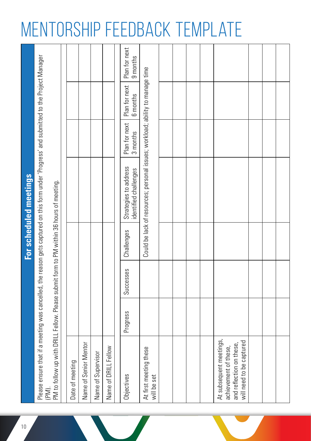## Mentorship Feedback Template

| 10 |                                                                                                          |          |           |            | For scheduled meetings                                                                                                                     |                           |                           |                           |
|----|----------------------------------------------------------------------------------------------------------|----------|-----------|------------|--------------------------------------------------------------------------------------------------------------------------------------------|---------------------------|---------------------------|---------------------------|
|    | (PM).                                                                                                    |          |           |            | Please ensure that if a meeting was cancelled, the reason gets captured on this form under 'Progress' and submitted to the Project Manager |                           |                           |                           |
|    | PM to follow up with DRILL Fellow. Please submit form to PM within 36 hours of meeting.                  |          |           |            |                                                                                                                                            |                           |                           |                           |
|    |                                                                                                          |          |           |            |                                                                                                                                            |                           |                           |                           |
|    | Date of meeting                                                                                          |          |           |            |                                                                                                                                            |                           |                           |                           |
|    | Name of Senior Mentor                                                                                    |          |           |            |                                                                                                                                            |                           |                           |                           |
|    | Name of Supervisor                                                                                       |          |           |            |                                                                                                                                            |                           |                           |                           |
|    | Name of DRILL Fellow                                                                                     |          |           |            |                                                                                                                                            |                           |                           |                           |
|    | Objectives                                                                                               | Progress | Successes | Challenges | Strategies to address<br>identified challenges                                                                                             | Plan for next<br>3 months | Plan for next<br>6 months | Plan for next<br>9 months |
|    | At first meeting these<br>will be set                                                                    |          |           |            | Could be lack of resources; personal issues; workload; ability to manage time                                                              |                           |                           |                           |
|    |                                                                                                          |          |           |            |                                                                                                                                            |                           |                           |                           |
|    |                                                                                                          |          |           |            |                                                                                                                                            |                           |                           |                           |
|    |                                                                                                          |          |           |            |                                                                                                                                            |                           |                           |                           |
|    |                                                                                                          |          |           |            |                                                                                                                                            |                           |                           |                           |
|    | At subsequent meetings,<br>and reflection on these,<br>will need to be captured<br>achievement of these, |          |           |            |                                                                                                                                            |                           |                           |                           |
|    |                                                                                                          |          |           |            |                                                                                                                                            |                           |                           |                           |
|    |                                                                                                          |          |           |            |                                                                                                                                            |                           |                           |                           |
|    |                                                                                                          |          |           |            |                                                                                                                                            |                           |                           |                           |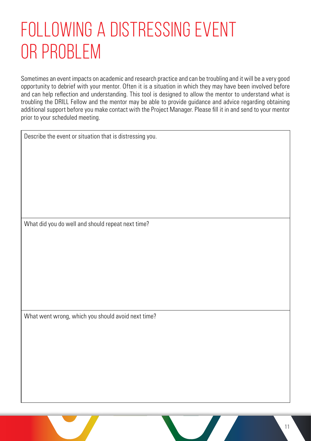## Following a Distressing Event OR PROBLEM

Sometimes an event impacts on academic and research practice and can be troubling and it will be a very good opportunity to debrief with your mentor. Often it is a situation in which they may have been involved before and can help reflection and understanding. This tool is designed to allow the mentor to understand what is troubling the DRILL Fellow and the mentor may be able to provide guidance and advice regarding obtaining additional support before you make contact with the Project Manager. Please fill it in and send to your mentor prior to your scheduled meeting.

Describe the event or situation that is distressing you.

What did you do well and should repeat next time?

What went wrong, which you should avoid next time?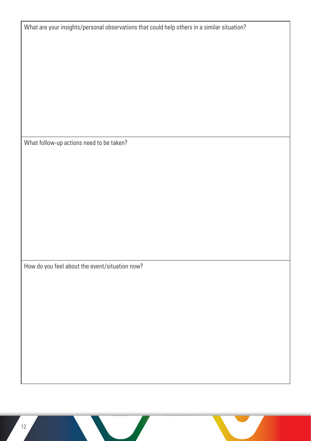| What are your insights/personal observations that could help others in a similar situation? |
|---------------------------------------------------------------------------------------------|
|                                                                                             |
|                                                                                             |
|                                                                                             |
|                                                                                             |
|                                                                                             |
|                                                                                             |
|                                                                                             |
| What follow-up actions need to be taken?                                                    |
|                                                                                             |
|                                                                                             |
|                                                                                             |
|                                                                                             |
|                                                                                             |
|                                                                                             |
|                                                                                             |
| How do you feel about the event/situation now?                                              |
|                                                                                             |
|                                                                                             |
|                                                                                             |
|                                                                                             |
|                                                                                             |
|                                                                                             |
|                                                                                             |
|                                                                                             |